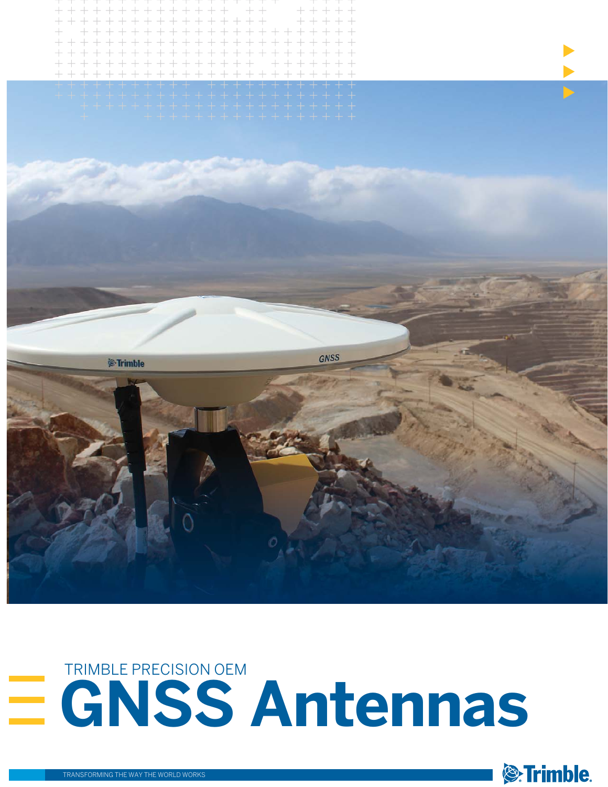

## **GNSS Antennas** TRIMBLE PRECISION OEM

**GNSS** 



<sup>2</sup>-Trimble

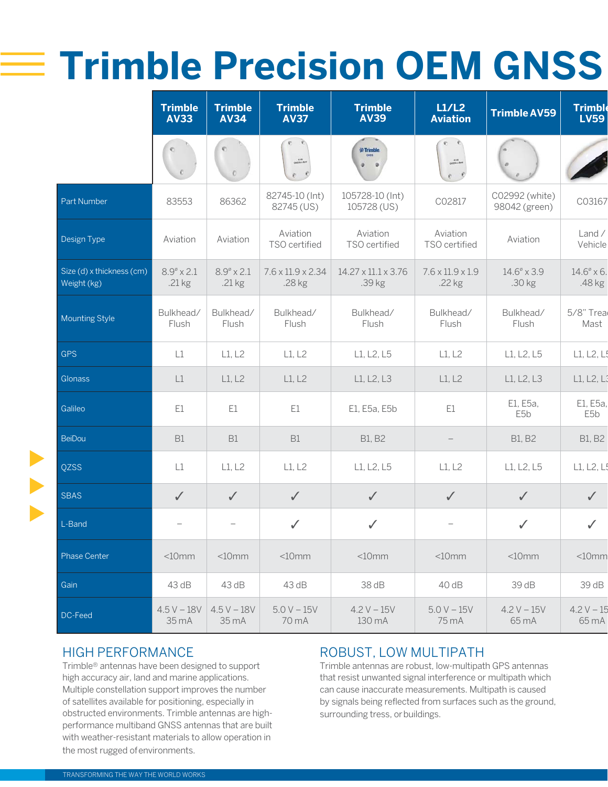# **Trimble Precision OEM GNSS**

|                                          | <b>Trimble</b><br><b>AV33</b>    | <b>Trimble</b><br><b>AV34</b>    | <b>Trimble</b><br><b>AV37</b>           | <b>Trimble</b><br><b>AV39</b>  | L1/L2<br><b>Trimble AV59</b><br><b>Aviation</b> |                                     | <b>Trimble</b><br><b>LV59</b>      |
|------------------------------------------|----------------------------------|----------------------------------|-----------------------------------------|--------------------------------|-------------------------------------------------|-------------------------------------|------------------------------------|
|                                          |                                  |                                  | 1000                                    | <b>梁:Trimble</b>               | e<br><b>ANSES</b>                               |                                     |                                    |
| Part Number                              | 83553                            | 86362                            | 82745-10 (Int)<br>82745 (US)            | 105728-10 (Int)<br>105728 (US) | C02992 (white)<br>C02817<br>98042 (green)       |                                     | C03167                             |
| Design Type                              | Aviation                         | Aviation                         | Aviation<br>TSO certified               | Aviation<br>TSO certified      | Aviation<br>Aviation<br>TSO certified           |                                     | Land/<br>Vehicle                   |
| Size (d) x thickness (cm)<br>Weight (kg) | $8.9^\circ \times 2.1$<br>.21 kg | $8.9^\circ \times 2.1$<br>.21 kg | $7.6 \times 11.9 \times 2.34$<br>.28 kg | 14.27 x 11.1 x 3.76<br>.39 kg  | $7.6 \times 11.9 \times 1.9$<br>.22 kg          | $14.6^{\circ} \times 3.9$<br>.30 kg | $14.6^{\circ} \times 6.$<br>.48 kg |
| <b>Mounting Style</b>                    | Bulkhead/<br>Flush               | Bulkhead/<br>Flush               | Bulkhead/<br>Flush                      | Bulkhead/<br>Flush             | Bulkhead/<br>Flush                              | Bulkhead/<br>Flush                  | 5/8" Trea<br>Mast                  |
| <b>GPS</b>                               | L1                               | L1, L2                           | L1, L2                                  | L1, L2, L5                     | L1, L2<br>L1, L2, L5                            |                                     | L1, L2, L5                         |
| <b>Glonass</b>                           | L1                               | L1, L2                           | L1, L2                                  | L1, L2, L3                     | L1, L2<br>L1, L2, L3                            |                                     | L1, L2, L3                         |
| Galileo                                  | E1                               | E1                               | E1                                      | E1, E5a, E5b                   | E1, E5a,<br>E1<br>E5b                           |                                     | E1, E5a,<br>E5b                    |
| <b>BeiDou</b>                            | <b>B1</b>                        | B1                               | B1                                      | <b>B1, B2</b>                  | <b>B1, B2</b>                                   |                                     | <b>B1, B2</b>                      |
| QZSS                                     | L1                               | L1, L2                           | L1, L2                                  | L1, L2, L5                     | L1, L2<br>L1, L2, L5                            |                                     | L1, L2, L5                         |
| <b>SBAS</b>                              | $\checkmark$                     | $\checkmark$                     | $\checkmark$                            | $\checkmark$                   | $\checkmark$<br>$\checkmark$                    |                                     | $\checkmark$                       |
| L-Band                                   |                                  |                                  | $\checkmark$                            | $\checkmark$                   | ✓                                               |                                     | ✓                                  |
| <b>Phase Center</b>                      | $<$ 10 $mm$                      | $<$ 10 $mm$                      | $<$ 10 $mm$                             | $<$ 10 $mm$                    | $<$ 10 $mm$                                     | $<$ 10 $mm$                         | $<$ 10 $mm$                        |
| Gain                                     | 43 dB                            | 43 dB                            | 43 dB                                   | 38 dB                          | 39 dB<br>40 dB                                  |                                     | 39 dB                              |
| DC-Feed                                  | $4.5V - 18V$<br>35 mA            | $4.5V - 18V$<br>35 mA            | $5.0 V - 15V$<br>70 mA                  | $4.2 V - 15V$<br>130 mA        | $5.0 V - 15V$<br>75 mA                          | $4.2 V - 15V$<br>65 mA              | $4.2 V - 15$<br>65 mA              |

#### HIGH PERFORMANCE

Trimble® antennas have been designed to support high accuracy air, land and marine applications. Multiple constellation support improves the number of satellites available for positioning, especially in obstructed environments. Trimble antennas are highperformance multiband GNSS antennas that are built with weather-resistant materials to allow operation in the most rugged of environments.

#### ROBUST, LOW MULTIPATH

Trimble antennas are robust, low-multipath GPS antennas that resist unwanted signal interference or multipath which can cause inaccurate measurements. Multipath is caused by signals being reflected from surfaces such as the ground, surrounding tress, or buildings.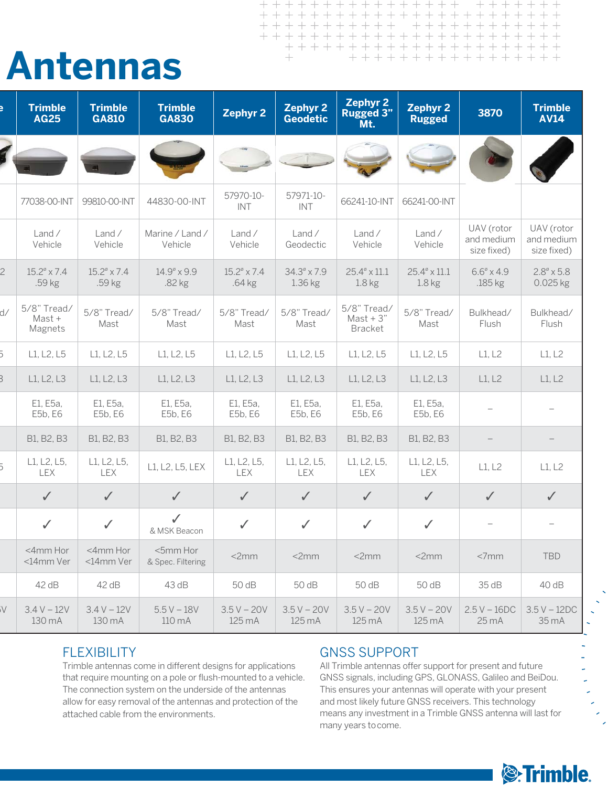### **Antennas**

|    | <b>Trimble</b><br><b>AG25</b>       | <b>Trimble</b><br><b>GA810</b>      | <b>Trimble</b><br><b>GA830</b>      | <b>Zephyr 2</b>                     | <b>Zephyr 2</b><br><b>Geodetic</b>     | <b>Zephyr 2</b><br>Rugged 3"<br>Mt.          | <b>Zephyr 2</b><br><b>Rugged</b>                | 3870                                    | <b>Trimble</b><br><b>AV14</b>           |
|----|-------------------------------------|-------------------------------------|-------------------------------------|-------------------------------------|----------------------------------------|----------------------------------------------|-------------------------------------------------|-----------------------------------------|-----------------------------------------|
|    |                                     |                                     |                                     |                                     |                                        |                                              |                                                 |                                         |                                         |
|    | 77038-00-INT                        | 99810-00-INT                        | 44830-00-INT                        | 57970-10-<br>INT                    | 57971-10-<br>INT                       | 66241-10-INT                                 | 66241-00-INT                                    |                                         |                                         |
|    | Land /<br>Vehicle                   | Land /<br>Vehicle                   | Marine / Land /<br>Vehicle          | Land/<br>Vehicle                    | Land /<br>Geodectic                    | Land/<br>Vehicle                             | Land /<br>Vehicle                               | UAV (rotor<br>and medium<br>size fixed) | UAV (rotor<br>and medium<br>size fixed) |
| 2  | $15.2^{\circ} \times 7.4$<br>.59 kg | $15.2^{\circ} \times 7.4$<br>.59 kg | $14.9^{\circ} \times 9.9$<br>.82 kg | $15.2^{\circ} \times 7.4$<br>.64 kg | $34.3^{\circ} \times 7.9$<br>$1.36$ kg | $25.4^{\circ} \times 11.1$<br>1.8 kg         | $25.4^{\circ} \times 11.1$<br>1.8 <sub>kg</sub> | $6.6^\circ \times 4.9$<br>.185 kg       | $2.8^\circ \times 5.8$<br>0.025 kg      |
| d/ | 5/8" Tread/<br>Mast +<br>Magnets    | 5/8" Tread/<br>Mast                 | 5/8" Tread/<br>Mast                 | 5/8" Tread/<br>Mast                 | 5/8" Tread/<br>Mast                    | 5/8" Tread/<br>$Mast + 3"$<br><b>Bracket</b> | 5/8" Tread/<br>Mast                             | Bulkhead/<br>Flush                      | Bulkhead/<br>Flush                      |
| 5  | L1, L2, L5                          | L1, L2, L5                          | L1, L2, L5                          | L1, L2, L5                          | L1, L2, L5                             | L1, L2, L5                                   | L1, L2, L5                                      | L1, L2                                  | L1, L2                                  |
|    | L1, L2, L3                          | L1, L2, L3                          | L1, L2, L3                          | L1, L2, L3                          | L1, L2, L3                             | L1, L2, L3                                   | L1, L2, L3                                      | L1, L2                                  | L1, L2                                  |
|    | E1, E5a,<br>E5b, E6                 | E1, E5a,<br>E5b, E6                 | E1, E5a,<br>E5b, E6                 | E1, E5a,<br>E5b, E6                 | E1, E5a,<br>E5b, E6                    | E1, E5a,<br>E5b, E6                          | E1, E5a,<br>E5b, E6                             |                                         |                                         |
|    | B1, B2, B3                          | B1, B2, B3                          | B1, B2, B3                          | B1, B2, B3                          | B1, B2, B3                             | B1, B2, B3                                   | B1, B2, B3                                      |                                         |                                         |
|    | L1, L2, L5,<br><b>LEX</b>           | L1, L2, L5,<br><b>LEX</b>           | L1, L2, L5, LEX                     | L1, L2, L5,<br><b>LEX</b>           | L1, L2, L5,<br>LEX                     | L1, L2, L5,<br><b>LEX</b>                    | L1, L2, L5,<br><b>LEX</b>                       | L1, L2                                  | L1, L2                                  |
|    | $\checkmark$                        | $\checkmark$                        | $\checkmark$                        | $\checkmark$                        | $\checkmark$                           | $\checkmark$                                 | $\checkmark$                                    | $\checkmark$                            | $\checkmark$                            |
|    | $\checkmark$                        | $\checkmark$                        | & MSK Beacon                        | $\checkmark$                        | $\checkmark$                           | $\checkmark$                                 | $\checkmark$                                    |                                         |                                         |
|    | <4mm Hor<br><14mm Ver               | <4mm Hor<br><14mm Ver               | <5mm Hor<br>& Spec. Filtering       | $<$ 2mm                             | $<$ 2mm                                | $<$ 2 $mm$                                   | $<$ 2mm                                         | $<7$ mm                                 | <b>TBD</b>                              |
|    | 42 dB                               | 42 dB                               | 43 dB                               | 50 dB                               | 50 dB                                  | 50 dB                                        | 50 dB                                           | 35dB                                    | 40 dB                                   |
| ۱V | $3.4 V - 12V$<br>130 mA             | $3.4 V - 12V$<br>130 mA             | $5.5 V - 18V$<br>110 mA             | $3.5V - 20V$<br>125 mA              | $3.5 V - 20V$<br>125 mA                | $3.5V - 20V$<br>$125 \text{ mA}$             | $3.5 V - 20V$<br>$125 \text{ mA}$               | $2.5 V - 16DC$<br>$25 \text{ mA}$       | $3.5 V - 12DC$<br>35 mA                 |

 $+$ 

 $+ + +$ 

 $\overline{\phantom{0}}$ 

 $\pm$ 

 $+ + + + + + +$ 

+ + + + + + + + + + + + + + + +

 $++$ 

 $\pm$  $+$ 

 $+ + +$ 

+ + + + + + + +

+ + + + + + + + + + + + + + + + +

### FLEXIBILITY

Trimble antennas come in different designs for applications that require mounting on a pole or flush-mounted to a vehicle. The connection system on the underside of the antennas allow for easy removal of the antennas and protection of the attached cable from the environments.

### GNSS SUPPORT

All Trimble antennas offer support for present and future GNSS signals, including GPS, GLONASS, Galileo and BeiDou. This ensures your antennas will operate with your present and most likely future GNSS receivers. This technology means any investment in a Trimble GNSS antenna will last for many years to come.